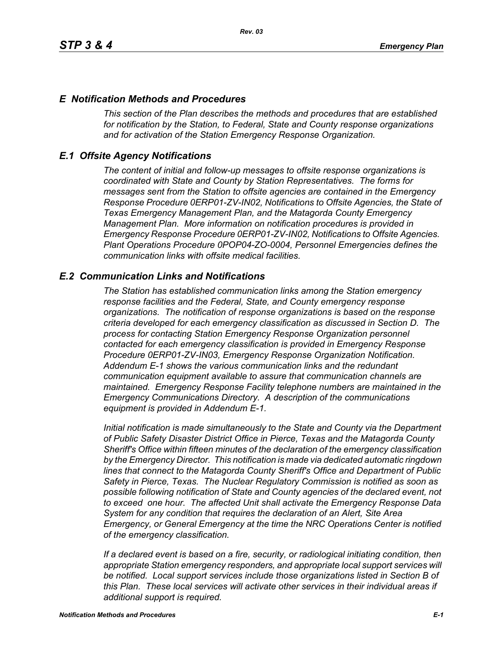### *E Notification Methods and Procedures*

*This section of the Plan describes the methods and procedures that are established for notification by the Station, to Federal, State and County response organizations and for activation of the Station Emergency Response Organization.*

### *E.1 Offsite Agency Notifications*

*The content of initial and follow-up messages to offsite response organizations is coordinated with State and County by Station Representatives. The forms for messages sent from the Station to offsite agencies are contained in the Emergency Response Procedure 0ERP01-ZV-IN02, Notifications to Offsite Agencies, the State of Texas Emergency Management Plan, and the Matagorda County Emergency Management Plan. More information on notification procedures is provided in Emergency Response Procedure 0ERP01-ZV-IN02, Notifications to Offsite Agencies. Plant Operations Procedure 0POP04-ZO-0004, Personnel Emergencies defines the communication links with offsite medical facilities.*

#### *E.2 Communication Links and Notifications*

*The Station has established communication links among the Station emergency response facilities and the Federal, State, and County emergency response organizations. The notification of response organizations is based on the response criteria developed for each emergency classification as discussed in Section D. The process for contacting Station Emergency Response Organization personnel contacted for each emergency classification is provided in Emergency Response Procedure 0ERP01-ZV-IN03, Emergency Response Organization Notification. Addendum E-1 shows the various communication links and the redundant communication equipment available to assure that communication channels are maintained. Emergency Response Facility telephone numbers are maintained in the Emergency Communications Directory. A description of the communications equipment is provided in Addendum E-1.*

*Initial notification is made simultaneously to the State and County via the Department of Public Safety Disaster District Office in Pierce, Texas and the Matagorda County Sheriff's Office within fifteen minutes of the declaration of the emergency classification by the Emergency Director. This notification is made via dedicated automatic ringdown lines that connect to the Matagorda County Sheriff's Office and Department of Public Safety in Pierce, Texas. The Nuclear Regulatory Commission is notified as soon as possible following notification of State and County agencies of the declared event, not to exceed one hour. The affected Unit shall activate the Emergency Response Data System for any condition that requires the declaration of an Alert, Site Area Emergency, or General Emergency at the time the NRC Operations Center is notified of the emergency classification.*

*If a declared event is based on a fire, security, or radiological initiating condition, then appropriate Station emergency responders, and appropriate local support services will be notified. Local support services include those organizations listed in Section B of this Plan. These local services will activate other services in their individual areas if additional support is required.*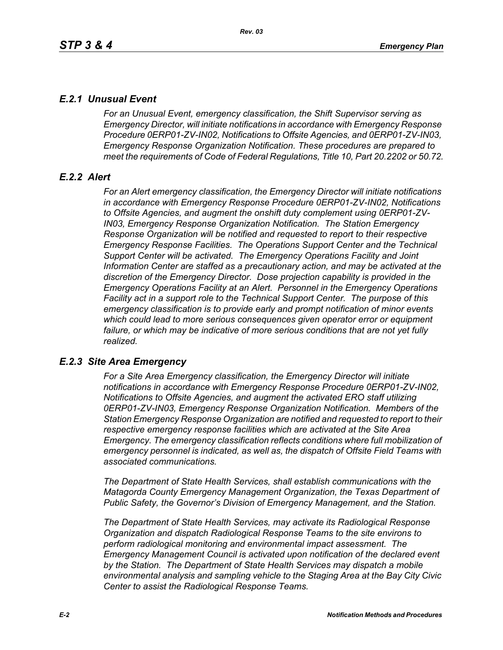# *E.2.1 Unusual Event*

*For an Unusual Event, emergency classification, the Shift Supervisor serving as Emergency Director, will initiate notifications in accordance with Emergency Response Procedure 0ERP01-ZV-IN02, Notifications to Offsite Agencies, and 0ERP01-ZV-IN03, Emergency Response Organization Notification. These procedures are prepared to meet the requirements of Code of Federal Regulations, Title 10, Part 20.2202 or 50.72.*

# *E.2.2 Alert*

*For an Alert emergency classification, the Emergency Director will initiate notifications in accordance with Emergency Response Procedure 0ERP01-ZV-IN02, Notifications to Offsite Agencies, and augment the onshift duty complement using 0ERP01-ZV-IN03, Emergency Response Organization Notification. The Station Emergency Response Organization will be notified and requested to report to their respective Emergency Response Facilities. The Operations Support Center and the Technical Support Center will be activated. The Emergency Operations Facility and Joint Information Center are staffed as a precautionary action, and may be activated at the discretion of the Emergency Director. Dose projection capability is provided in the Emergency Operations Facility at an Alert. Personnel in the Emergency Operations Facility act in a support role to the Technical Support Center. The purpose of this emergency classification is to provide early and prompt notification of minor events which could lead to more serious consequences given operator error or equipment*  failure, or which may be indicative of more serious conditions that are not yet fully *realized.*

# *E.2.3 Site Area Emergency*

*For a Site Area Emergency classification, the Emergency Director will initiate notifications in accordance with Emergency Response Procedure 0ERP01-ZV-IN02, Notifications to Offsite Agencies, and augment the activated ERO staff utilizing 0ERP01-ZV-IN03, Emergency Response Organization Notification. Members of the Station Emergency Response Organization are notified and requested to report to their respective emergency response facilities which are activated at the Site Area Emergency. The emergency classification reflects conditions where full mobilization of emergency personnel is indicated, as well as, the dispatch of Offsite Field Teams with associated communications.*

*The Department of State Health Services, shall establish communications with the Matagorda County Emergency Management Organization, the Texas Department of Public Safety, the Governor's Division of Emergency Management, and the Station.* 

*The Department of State Health Services, may activate its Radiological Response Organization and dispatch Radiological Response Teams to the site environs to perform radiological monitoring and environmental impact assessment. The Emergency Management Council is activated upon notification of the declared event by the Station. The Department of State Health Services may dispatch a mobile environmental analysis and sampling vehicle to the Staging Area at the Bay City Civic Center to assist the Radiological Response Teams.*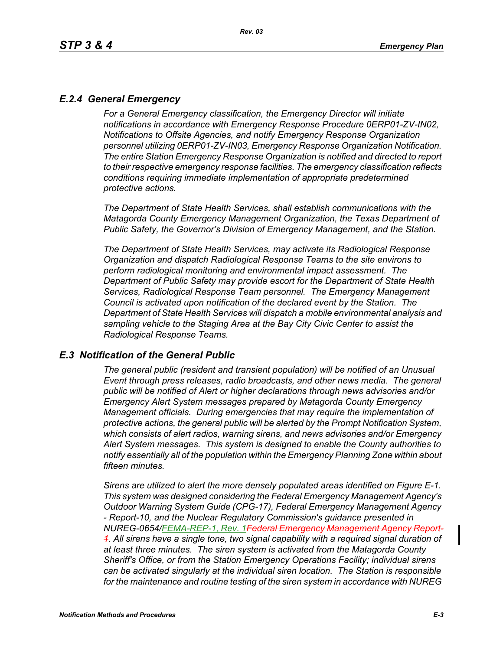# *E.2.4 General Emergency*

*For a General Emergency classification, the Emergency Director will initiate notifications in accordance with Emergency Response Procedure 0ERP01-ZV-IN02, Notifications to Offsite Agencies, and notify Emergency Response Organization personnel utilizing 0ERP01-ZV-IN03, Emergency Response Organization Notification. The entire Station Emergency Response Organization is notified and directed to report to their respective emergency response facilities. The emergency classification reflects conditions requiring immediate implementation of appropriate predetermined protective actions.*

*The Department of State Health Services, shall establish communications with the Matagorda County Emergency Management Organization, the Texas Department of Public Safety, the Governor's Division of Emergency Management, and the Station.*

*The Department of State Health Services, may activate its Radiological Response Organization and dispatch Radiological Response Teams to the site environs to perform radiological monitoring and environmental impact assessment. The Department of Public Safety may provide escort for the Department of State Health Services, Radiological Response Team personnel. The Emergency Management Council is activated upon notification of the declared event by the Station. The Department of State Health Services will dispatch a mobile environmental analysis and sampling vehicle to the Staging Area at the Bay City Civic Center to assist the Radiological Response Teams.*

### *E.3 Notification of the General Public*

*The general public (resident and transient population) will be notified of an Unusual Event through press releases, radio broadcasts, and other news media. The general public will be notified of Alert or higher declarations through news advisories and/or Emergency Alert System messages prepared by Matagorda County Emergency Management officials. During emergencies that may require the implementation of protective actions, the general public will be alerted by the Prompt Notification System, which consists of alert radios, warning sirens, and news advisories and/or Emergency Alert System messages. This system is designed to enable the County authorities to notify essentially all of the population within the Emergency Planning Zone within about fifteen minutes.* 

*Sirens are utilized to alert the more densely populated areas identified on Figure E-1. This system was designed considering the Federal Emergency Management Agency's Outdoor Warning System Guide (CPG-17), Federal Emergency Management Agency - Report-10, and the Nuclear Regulatory Commission's guidance presented in NUREG-0654/FEMA-REP-1, Rev. 1Federal Emergency Management Agency Report-1. All sirens have a single tone, two signal capability with a required signal duration of at least three minutes. The siren system is activated from the Matagorda County Sheriff's Office, or from the Station Emergency Operations Facility; individual sirens can be activated singularly at the individual siren location. The Station is responsible for the maintenance and routine testing of the siren system in accordance with NUREG*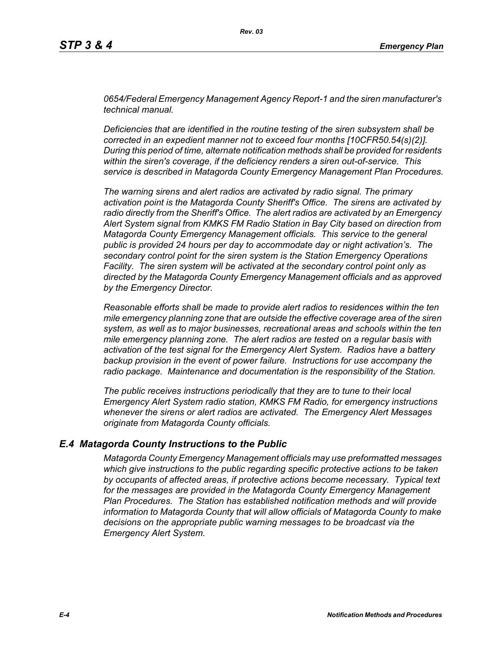*0654/Federal Emergency Management Agency Report-1 and the siren manufacturer's technical manual.* 

*Deficiencies that are identified in the routine testing of the siren subsystem shall be corrected in an expedient manner not to exceed four months [10CFR50.54(s)(2)]. During this period of time, alternate notification methods shall be provided for residents within the siren's coverage, if the deficiency renders a siren out-of-service. This service is described in Matagorda County Emergency Management Plan Procedures.*

*The warning sirens and alert radios are activated by radio signal. The primary activation point is the Matagorda County Sheriff's Office. The sirens are activated by radio directly from the Sheriff's Office. The alert radios are activated by an Emergency Alert System signal from KMKS FM Radio Station in Bay City based on direction from Matagorda County Emergency Management officials. This service to the general public is provided 24 hours per day to accommodate day or night activation's. The secondary control point for the siren system is the Station Emergency Operations Facility. The siren system will be activated at the secondary control point only as directed by the Matagorda County Emergency Management officials and as approved by the Emergency Director.* 

*Reasonable efforts shall be made to provide alert radios to residences within the ten mile emergency planning zone that are outside the effective coverage area of the siren system, as well as to major businesses, recreational areas and schools within the ten mile emergency planning zone. The alert radios are tested on a regular basis with activation of the test signal for the Emergency Alert System. Radios have a battery backup provision in the event of power failure. Instructions for use accompany the radio package. Maintenance and documentation is the responsibility of the Station.* 

*The public receives instructions periodically that they are to tune to their local Emergency Alert System radio station, KMKS FM Radio, for emergency instructions whenever the sirens or alert radios are activated. The Emergency Alert Messages originate from Matagorda County officials.* 

#### *E.4 Matagorda County Instructions to the Public*

*Matagorda County Emergency Management officials may use preformatted messages which give instructions to the public regarding specific protective actions to be taken by occupants of affected areas, if protective actions become necessary. Typical text for the messages are provided in the Matagorda County Emergency Management Plan Procedures. The Station has established notification methods and will provide information to Matagorda County that will allow officials of Matagorda County to make decisions on the appropriate public warning messages to be broadcast via the Emergency Alert System.*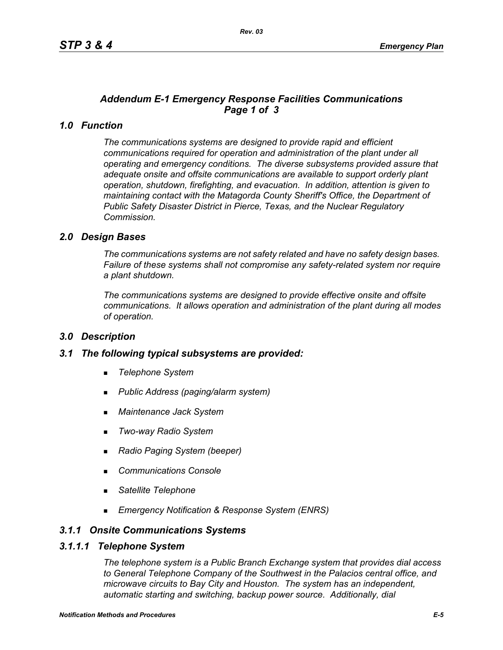# *Addendum E-1 Emergency Response Facilities Communications Page 1 of 3*

# *1.0 Function*

*The communications systems are designed to provide rapid and efficient communications required for operation and administration of the plant under all operating and emergency conditions. The diverse subsystems provided assure that adequate onsite and offsite communications are available to support orderly plant operation, shutdown, firefighting, and evacuation. In addition, attention is given to maintaining contact with the Matagorda County Sheriff's Office, the Department of Public Safety Disaster District in Pierce, Texas, and the Nuclear Regulatory Commission.*

### *2.0 Design Bases*

*The communications systems are not safety related and have no safety design bases. Failure of these systems shall not compromise any safety-related system nor require a plant shutdown.*

*The communications systems are designed to provide effective onsite and offsite communications. It allows operation and administration of the plant during all modes of operation.*

#### *3.0 Description*

#### *3.1 The following typical subsystems are provided:*

- *Telephone System*
- *Public Address (paging/alarm system)*
- *Maintenance Jack System*
- *Two-way Radio System*
- *Radio Paging System (beeper)*
- *Communications Console*
- *Satellite Telephone*
- *Emergency Notification & Response System (ENRS)*

#### *3.1.1 Onsite Communications Systems*

#### *3.1.1.1 Telephone System*

*The telephone system is a Public Branch Exchange system that provides dial access to General Telephone Company of the Southwest in the Palacios central office, and microwave circuits to Bay City and Houston. The system has an independent, automatic starting and switching, backup power source. Additionally, dial*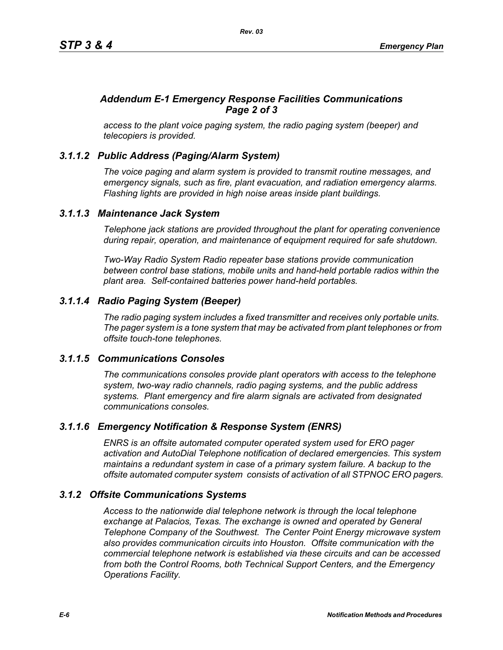# *Addendum E-1 Emergency Response Facilities Communications Page 2 of 3*

*access to the plant voice paging system, the radio paging system (beeper) and telecopiers is provided.*

# *3.1.1.2 Public Address (Paging/Alarm System)*

*The voice paging and alarm system is provided to transmit routine messages, and emergency signals, such as fire, plant evacuation, and radiation emergency alarms. Flashing lights are provided in high noise areas inside plant buildings.*

### *3.1.1.3 Maintenance Jack System*

*Telephone jack stations are provided throughout the plant for operating convenience during repair, operation, and maintenance of equipment required for safe shutdown.* 

*Two-Way Radio System Radio repeater base stations provide communication between control base stations, mobile units and hand-held portable radios within the plant area. Self-contained batteries power hand-held portables.* 

# *3.1.1.4 Radio Paging System (Beeper)*

*The radio paging system includes a fixed transmitter and receives only portable units. The pager system is a tone system that may be activated from plant telephones or from offsite touch-tone telephones.* 

#### *3.1.1.5 Communications Consoles*

*The communications consoles provide plant operators with access to the telephone system, two-way radio channels, radio paging systems, and the public address systems. Plant emergency and fire alarm signals are activated from designated communications consoles.*

# *3.1.1.6 Emergency Notification & Response System (ENRS)*

*ENRS is an offsite automated computer operated system used for ERO pager activation and AutoDial Telephone notification of declared emergencies. This system maintains a redundant system in case of a primary system failure. A backup to the offsite automated computer system consists of activation of all STPNOC ERO pagers.*

#### *3.1.2 Offsite Communications Systems*

*Access to the nationwide dial telephone network is through the local telephone exchange at Palacios, Texas. The exchange is owned and operated by General Telephone Company of the Southwest. The Center Point Energy microwave system also provides communication circuits into Houston. Offsite communication with the commercial telephone network is established via these circuits and can be accessed from both the Control Rooms, both Technical Support Centers, and the Emergency Operations Facility.*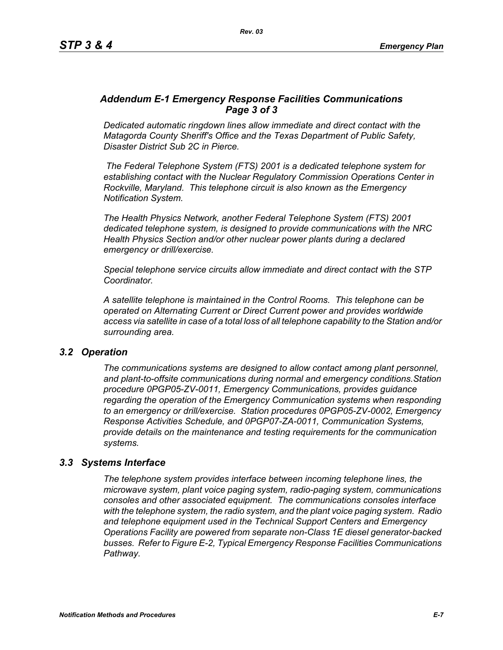### *Addendum E-1 Emergency Response Facilities Communications Page 3 of 3*

*Dedicated automatic ringdown lines allow immediate and direct contact with the Matagorda County Sheriff's Office and the Texas Department of Public Safety, Disaster District Sub 2C in Pierce.*

 *The Federal Telephone System (FTS) 2001 is a dedicated telephone system for establishing contact with the Nuclear Regulatory Commission Operations Center in Rockville, Maryland. This telephone circuit is also known as the Emergency Notification System.*

*The Health Physics Network, another Federal Telephone System (FTS) 2001 dedicated telephone system, is designed to provide communications with the NRC Health Physics Section and/or other nuclear power plants during a declared emergency or drill/exercise.*

*Special telephone service circuits allow immediate and direct contact with the STP Coordinator.*

*A satellite telephone is maintained in the Control Rooms. This telephone can be operated on Alternating Current or Direct Current power and provides worldwide access via satellite in case of a total loss of all telephone capability to the Station and/or surrounding area.*

#### *3.2 Operation*

*The communications systems are designed to allow contact among plant personnel, and plant-to-offsite communications during normal and emergency conditions.Station procedure 0PGP05-ZV-0011, Emergency Communications, provides guidance regarding the operation of the Emergency Communication systems when responding to an emergency or drill/exercise. Station procedures 0PGP05-ZV-0002, Emergency Response Activities Schedule, and 0PGP07-ZA-0011, Communication Systems, provide details on the maintenance and testing requirements for the communication systems.*

#### *3.3 Systems Interface*

*The telephone system provides interface between incoming telephone lines, the microwave system, plant voice paging system, radio-paging system, communications consoles and other associated equipment. The communications consoles interface with the telephone system, the radio system, and the plant voice paging system. Radio and telephone equipment used in the Technical Support Centers and Emergency Operations Facility are powered from separate non-Class 1E diesel generator-backed busses. Refer to Figure E-2, Typical Emergency Response Facilities Communications Pathway.*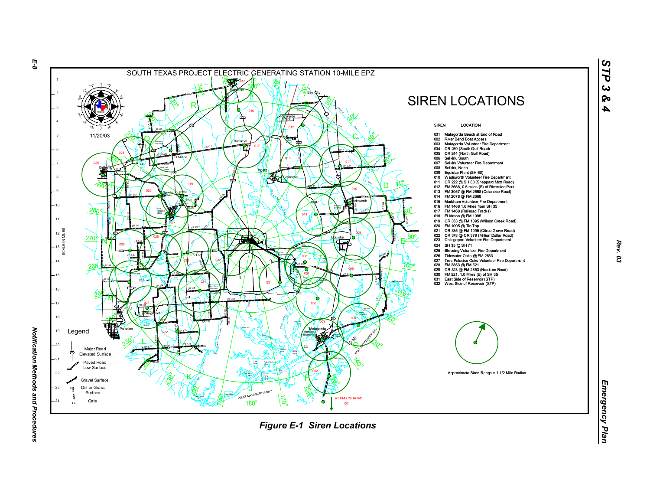

*Rev. 03*

*STP 3 & 4*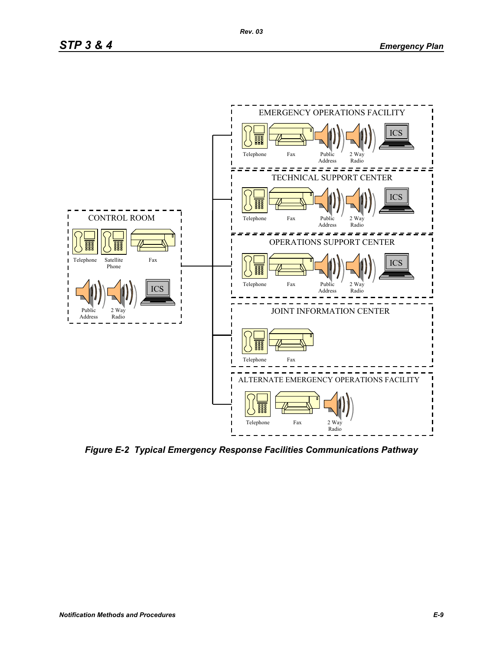

*Figure E-2 Typical Emergency Response Facilities Communications Pathway*